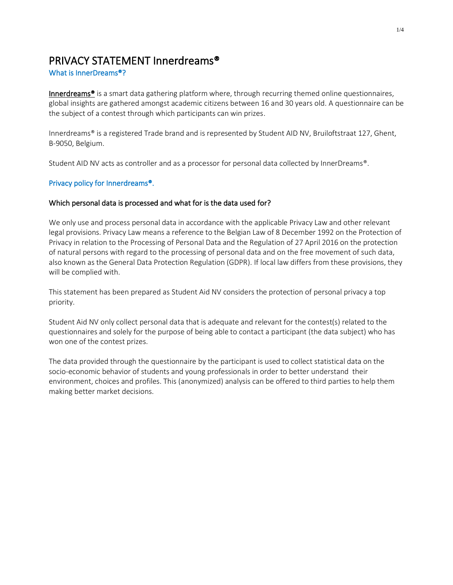# PRIVACY STATEMENT Innerdreams®

## What is InnerDreams®?

Innerdreams<sup>®</sup> is a smart data gathering platform where, through recurring themed online questionnaires, global insights are gathered amongst academic citizens between 16 and 30 years old. A questionnaire can be the subject of a contest through which participants can win prizes.

Innerdreams® is a registered Trade brand and is represented by Student AID NV, Bruiloftstraat 127, Ghent, B-9050, Belgium.

Student AID NV acts as controller and as a processor for personal data collected by InnerDreams®.

# Privacy policy for Innerdreams®.

## Which personal data is processed and what for is the data used for?

We only use and process personal data in accordance with the applicable Privacy Law and other relevant legal provisions. Privacy Law means a reference to the Belgian Law of 8 December 1992 on the Protection of Privacy in relation to the Processing of Personal Data and the Regulation of 27 April 2016 on the protection of natural persons with regard to the processing of personal data and on the free movement of such data, also known as the General Data Protection Regulation (GDPR). If local law differs from these provisions, they will be complied with.

This statement has been prepared as Student Aid NV considers the protection of personal privacy a top priority.

Student Aid NV only collect personal data that is adequate and relevant for the contest(s) related to the questionnaires and solely for the purpose of being able to contact a participant (the data subject) who has won one of the contest prizes.

The data provided through the questionnaire by the participant is used to collect statistical data on the socio-economic behavior of students and young professionals in order to better understand their environment, choices and profiles. This (anonymized) analysis can be offered to third parties to help them making better market decisions.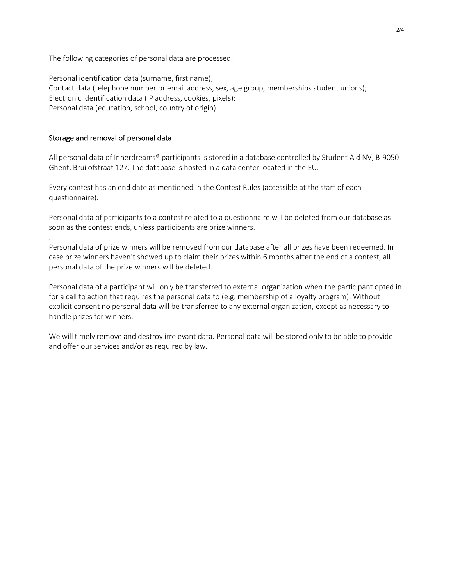The following categories of personal data are processed:

Personal identification data (surname, first name); Contact data (telephone number or email address, sex, age group, memberships student unions); Electronic identification data (IP address, cookies, pixels); Personal data (education, school, country of origin).

#### Storage and removal of personal data

.

All personal data of Innerdreams® participants is stored in a database controlled by Student Aid NV, B-9050 Ghent, Bruilofstraat 127. The database is hosted in a data center located in the EU.

Every contest has an end date as mentioned in the Contest Rules (accessible at the start of each questionnaire).

Personal data of participants to a contest related to a questionnaire will be deleted from our database as soon as the contest ends, unless participants are prize winners.

Personal data of prize winners will be removed from our database after all prizes have been redeemed. In case prize winners haven't showed up to claim their prizes within 6 months after the end of a contest, all personal data of the prize winners will be deleted.

Personal data of a participant will only be transferred to external organization when the participant opted in for a call to action that requires the personal data to (e.g. membership of a loyalty program). Without explicit consent no personal data will be transferred to any external organization, except as necessary to handle prizes for winners.

We will timely remove and destroy irrelevant data. Personal data will be stored only to be able to provide and offer our services and/or as required by law.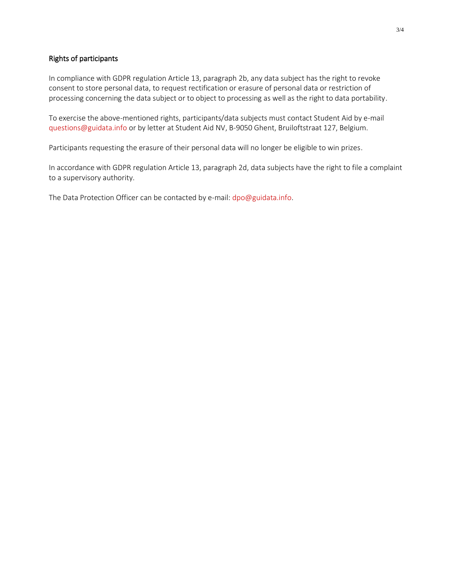#### Rights of participants

In compliance with GDPR regulation Article 13, paragraph 2b, any data subject has the right to revoke consent to store personal data, to request rectification or erasure of personal data or restriction of processing concerning the data subject or to object to processing as well as the right to data portability.

To exercise the above-mentioned rights, participants/data subjects must contact Student Aid by e-mail [questions@guidata.info](https://guidooh.sharepoint.com/sites/Guidata/Gedeelde%20documenten/Social%20Samba/questions@guidata.info) or by letter at Student Aid NV, B-9050 Ghent, Bruiloftstraat 127, Belgium.

Participants requesting the erasure of their personal data will no longer be eligible to win prizes.

In accordance with GDPR regulation Article 13, paragraph 2d, data subjects have the right to file a complaint to a supervisory authority.

The Data Protection Officer can be contacted by e-mail: [dpo@guidata.info.](mailto:dpo@guidata.info)